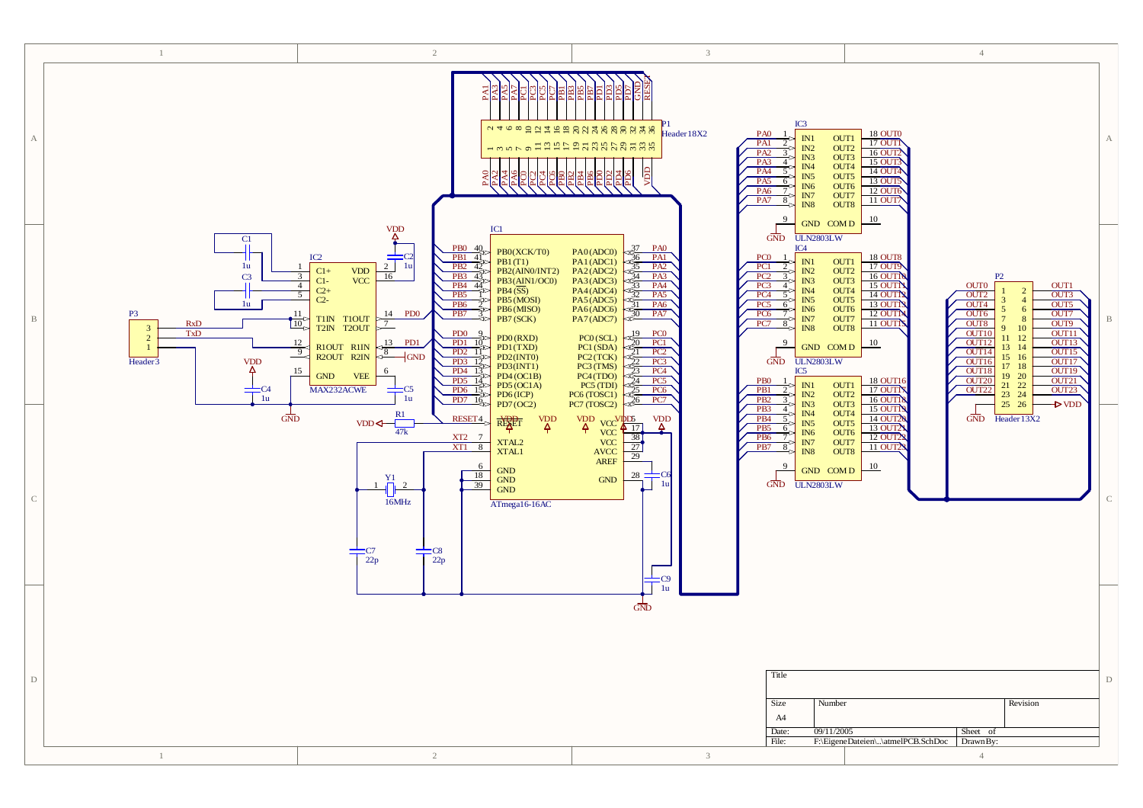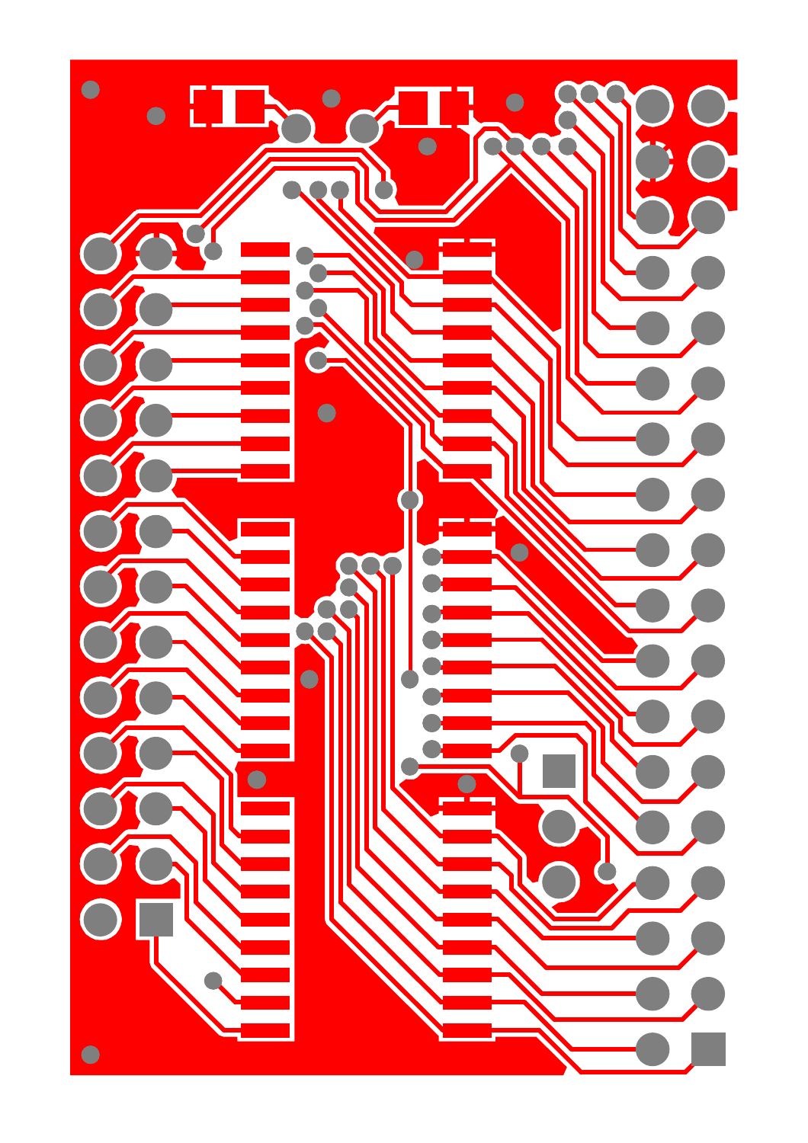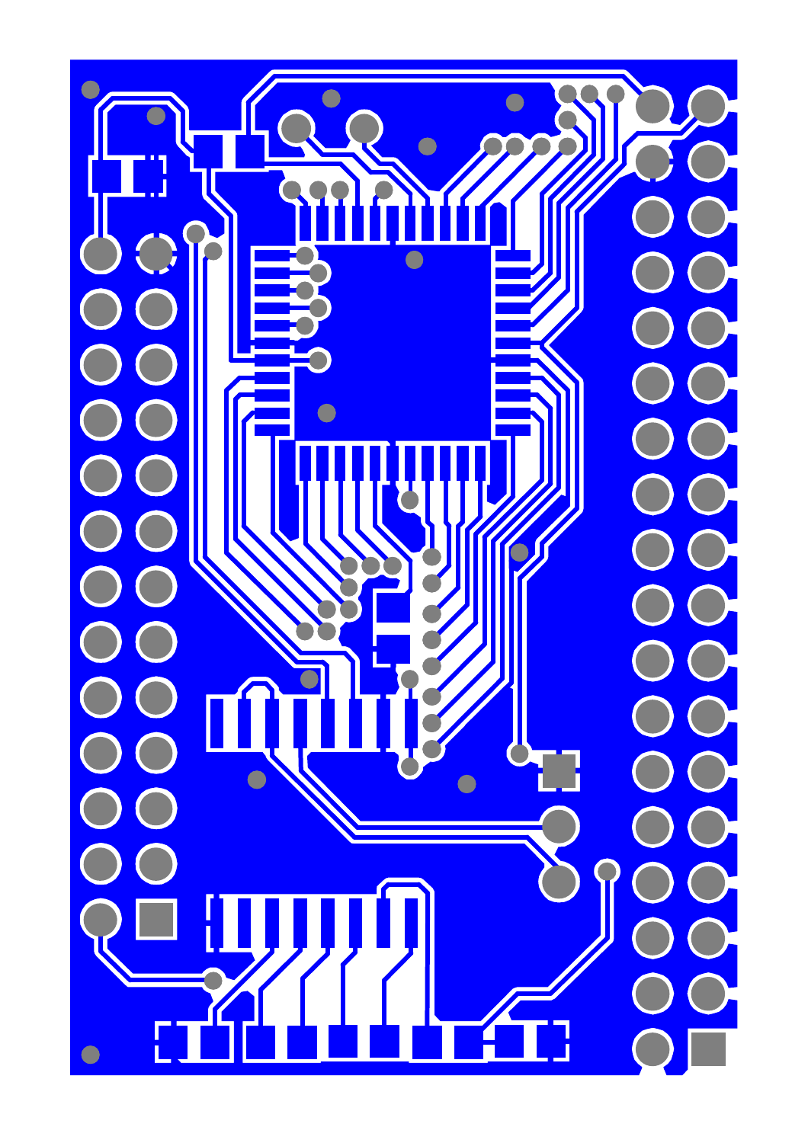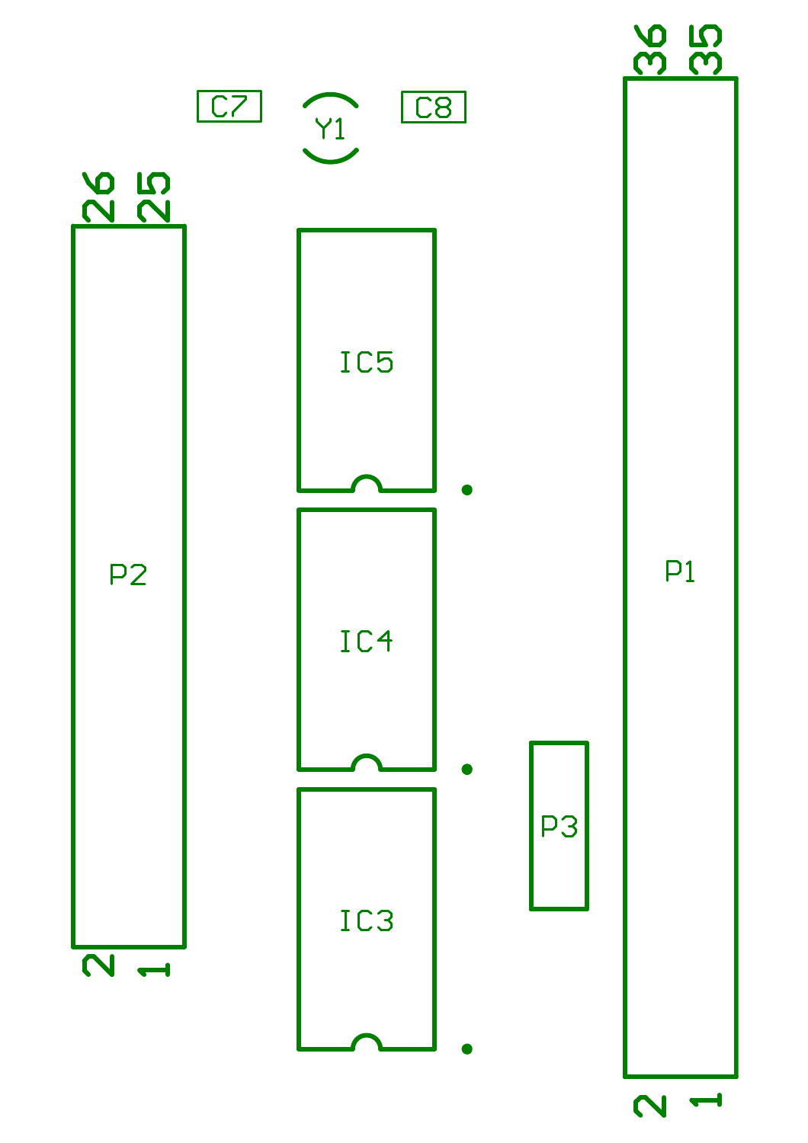